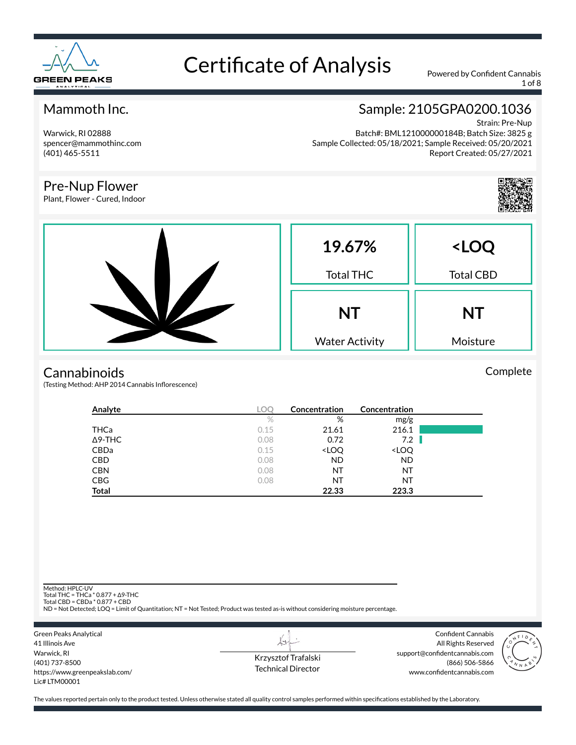

1 of 8

#### Mammoth Inc.

Warwick, RI 02888 spencer@mammothinc.com (401) 465-5511

Pre-Nup Flower Plant, Flower - Cured, Indoor

### Sample: 2105GPA0200.1036

Strain: Pre-Nup Batch#: BML121000000184B; Batch Size: 3825 g Sample Collected: 05/18/2021; Sample Received: 05/20/2021 Report Created: 05/27/2021



Complete



#### **Cannabinoids**

(Testing Method: AHP 2014 Cannabis Inflorescence)

| Analyte        | <b>LOC</b> | Concentration                                            | Concentration                |  |
|----------------|------------|----------------------------------------------------------|------------------------------|--|
|                | $\%$       | %                                                        | mg/g                         |  |
| <b>THCa</b>    | 0.15       | 21.61                                                    | 216.1                        |  |
| $\Delta$ 9-THC | 0.08       | 0.72                                                     | 7.2                          |  |
| CBDa           | 0.15       | <loq< td=""><td><loq< td=""><td></td></loq<></td></loq<> | <loq< td=""><td></td></loq<> |  |
| <b>CBD</b>     | 0.08       | <b>ND</b>                                                | <b>ND</b>                    |  |
| <b>CBN</b>     | 0.08       | NT                                                       | NT                           |  |
| <b>CBG</b>     | 0.08       | NT                                                       | NT                           |  |
| Total          |            | 22.33                                                    | 223.3                        |  |

Method: HPLC-UV

Total THC = THCa \* 0.877 + ∆9-THC Total CBD = CBDa \* 0.877 + CBD

ND = Not Detected; LOQ = Limit of Quantitation; NT = Not Tested; Product was tested as-is without considering moisture percentage.

Green Peaks Analytical 41 Illinois Ave Warwick, RI (401) 737-8500 https://www.greenpeakslab.com/ Lic# LTM00001

Krzysztof Trafalski Technical Director

Confident Cannabis All Rights Reserved support@confidentcannabis.com (866) 506-5866 www.confidentcannabis.com

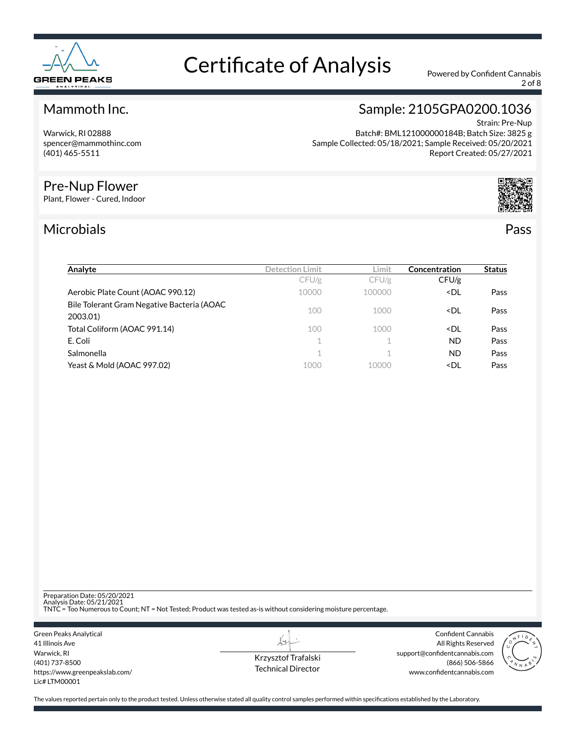

2 of 8

#### Mammoth Inc.

Warwick, RI 02888 spencer@mammothinc.com (401) 465-5511

#### Pre-Nup Flower

Plant, Flower - Cured, Indoor

### Microbials Pass

Sample: 2105GPA0200.1036

Strain: Pre-Nup Batch#: BML121000000184B; Batch Size: 3825 g Sample Collected: 05/18/2021; Sample Received: 05/20/2021 Report Created: 05/27/2021



| Analyte                                                | <b>Detection Limit</b> | Limit  | Concentration                  | <b>Status</b> |
|--------------------------------------------------------|------------------------|--------|--------------------------------|---------------|
|                                                        | CFU/g                  | CFU/g  | CFU/g                          |               |
| Aerobic Plate Count (AOAC 990.12)                      | 10000                  | 100000 | <dl< td=""><td>Pass</td></dl<> | Pass          |
| Bile Tolerant Gram Negative Bacteria (AOAC<br>2003.01) | 100                    | 1000   | <dl< td=""><td>Pass</td></dl<> | Pass          |
| Total Coliform (AOAC 991.14)                           | 100                    | 1000   | <dl< td=""><td>Pass</td></dl<> | Pass          |
| E. Coli                                                | 1                      |        | ND.                            | Pass          |
| Salmonella                                             | 1                      |        | ND.                            | Pass          |
| Yeast & Mold (AOAC 997.02)                             | 1000                   | 10000  | <dl< td=""><td>Pass</td></dl<> | Pass          |

Preparation Date: 05/20/2021

Analysis Date: 05/21/2021 TNTC = Too Numerous to Count; NT = Not Tested; Product was tested as-is without considering moisture percentage.

Green Peaks Analytical 41 Illinois Ave Warwick, RI (401) 737-8500 https://www.greenpeakslab.com/ Lic# LTM00001

Krzysztof Trafalski Technical Director

L+

Confident Cannabis All Rights Reserved support@confidentcannabis.com (866) 506-5866 www.confidentcannabis.com

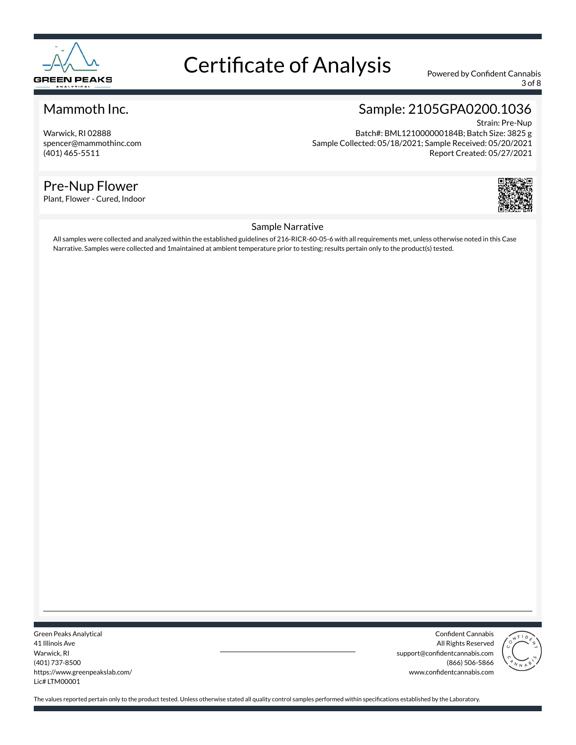

3 of 8

#### Mammoth Inc.

Warwick, RI 02888 spencer@mammothinc.com (401) 465-5511

#### Pre-Nup Flower

Plant, Flower - Cured, Indoor

### Sample: 2105GPA0200.1036

Strain: Pre-Nup Batch#: BML121000000184B; Batch Size: 3825 g Sample Collected: 05/18/2021; Sample Received: 05/20/2021 Report Created: 05/27/2021



#### Sample Narrative

All samples were collected and analyzed within the established guidelines of 216-RICR-60-05-6 with all requirements met, unless otherwise noted in this Case Narrative. Samples were collected and 1maintained at ambient temperature prior to testing; results pertain only to the product(s) tested.

Green Peaks Analytical 41 Illinois Ave Warwick, RI (401) 737-8500 https://www.greenpeakslab.com/ Lic# LTM00001

Confident Cannabis All Rights Reserved support@confidentcannabis.com (866) 506-5866 www.confidentcannabis.com

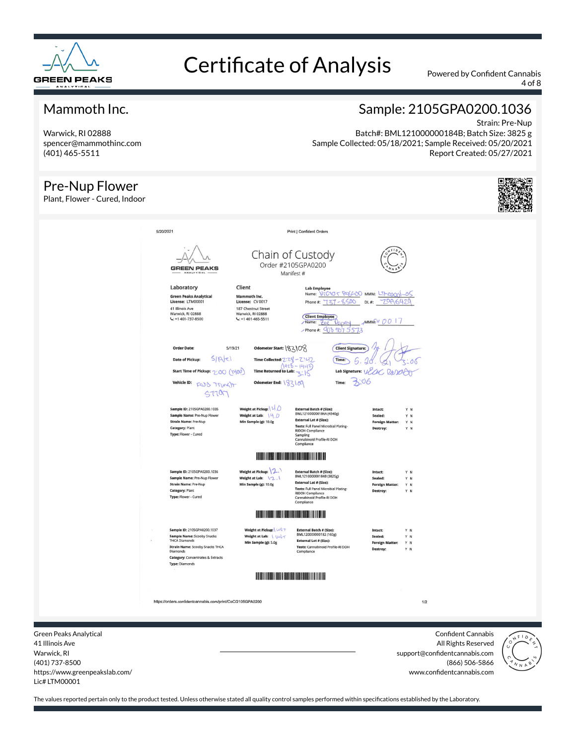

4 of 8

#### Mammoth Inc.

Warwick, RI 02888 spencer@mammothinc.com (401) 465-5511

#### Pre-Nup Flower

#### Sample: 2105GPA0200.1036 Strain: Pre-Nup

Batch#: BML121000000184B; Batch Size: 3825 g Sample Collected: 05/18/2021; Sample Received: 05/20/2021 Report Created: 05/27/2021

| Pre-Nup Flower<br>Plant, Flower - Cured, Indoor |                                                                                                                                                                                                                  |                                                                                                                       |                                                                                                                                                                                                                  |                                                                                      |     |  |
|-------------------------------------------------|------------------------------------------------------------------------------------------------------------------------------------------------------------------------------------------------------------------|-----------------------------------------------------------------------------------------------------------------------|------------------------------------------------------------------------------------------------------------------------------------------------------------------------------------------------------------------|--------------------------------------------------------------------------------------|-----|--|
| 5/20/2021                                       | <b>GREEN PEAKS</b><br>ANALYTICAL                                                                                                                                                                                 |                                                                                                                       | Print   Confident Orders<br>Chain of Custody<br>Order #2105GPA0200<br>Manifest #                                                                                                                                 |                                                                                      |     |  |
|                                                 | Laboratory<br><b>Green Peaks Analytical</b><br>License: LTM00001<br>41 Illinois Ave<br>Warwick, RI 02888<br>$\frac{1}{2}$ +1 401-737-8500                                                                        | Client<br>Mammoth Inc.<br>License: CV 0017<br>187 Chestnut Street<br>Warwick, RI 02888<br>$L: +1401-465-5511$         | <b>Lab Employee</b><br>Name: VTC10<br>500<br>Phone #:<br><b>Client Employee</b><br>Name: Zoe<br>$\mu$ Phone#: 408 507 5573                                                                                       | 5 RESCUED MMM: LIMOOCY<br>70a<br>DL#<br>64<br>MMMWV00                                |     |  |
|                                                 | <b>Order Date:</b><br>5/19/21<br>5 R c <br>Date of Pickup:<br>Start Time of Pickup: 2:00 (1400)<br>Vehicle ID: FOJO Trung IT<br>57707                                                                            | Odometer Start: \83\08<br>Time Collected: Z:ZS<br><b>Time Returned to Lab:</b><br>Odometer End: 183109                | <b>Client Signature:</b><br>$-7.47$<br>Time:<br><b>Lab Signature:</b><br>706<br>Time:                                                                                                                            |                                                                                      |     |  |
|                                                 | Sample ID: 2105GPA0200.1035<br>Sample Name: Pre-Nup Flower<br><b>Strain Name: Pre-Nup</b><br>Category: Plant<br>Type: Flower - Cured                                                                             | Weight at Pickup:   1<br>Weight at Lab: $\forall$<br>Min Sample (g): 10.0g                                            | External Batch # (Size):<br>BML121000000184A (4540g)<br><b>External Lot # (Size):</b><br>Tests: Full Panel Microbial Plating-<br><b>RIDOH Compliance</b><br>Sampling<br>Cannabinoid Profile-RI DOH<br>Compliance | Intact:<br>Y N<br>Sealed:<br>Y N<br><b>Foreign Matter:</b><br>Y N<br>Destroy:<br>Y N |     |  |
|                                                 | Sample ID: 2105GPA0200.1036<br>Sample Name: Pre-Nup Flower                                                                                                                                                       | <u>IL ETTI LEBEN TURBI TURBI TERRITORIA DEL TERRITORIA DE L</u><br>Weight at Pickup: 2.<br>Weight at Lab: $\{2.1$     | <b>External Batch # (Size):</b><br>BML121000000184B (3825g)                                                                                                                                                      | Intact:<br>Y N<br>Sealed:<br>Y N                                                     |     |  |
|                                                 | <b>Strain Name: Pre-Nup</b><br>Category: Plant<br>Type: Flower - Cured                                                                                                                                           | Min Sample (g): 10.0g                                                                                                 | <b>External Lot # (Size):</b><br>Tests: Full Panel Microbial Plating-<br><b>RIDOH Compliance</b><br>Cannabinoid Profile-RI DOH<br>Compliance                                                                     | <b>Foreign Matter:</b><br>Y N<br>Destroy:<br>Y N                                     |     |  |
|                                                 |                                                                                                                                                                                                                  |                                                                                                                       | <b>KINING MANA</b>                                                                                                                                                                                               |                                                                                      |     |  |
|                                                 | Sample ID: 2105GPA0200.1037<br>Sample Name: Scooby Snacks<br><b>THCA Diamonds</b><br><b>Strain Name: Scooby Snacks THCA</b><br>Diamonds<br><b>Category: Concentrates &amp; Extracts</b><br><b>Type: Diamonds</b> | Weight at Pickup: UNT<br>Weight at Lab: \ W\\<br>Min Sample (g): 5.0g                                                 | External Batch # (Size):<br>BML120000000182 (160g)<br><b>External Lot # (Size):</b><br>Tests: Cannabinoid Profile-RI DOH<br>Compliance                                                                           | Intact:<br>Y N<br>Sealed:<br>YN<br><b>Foreign Matter:</b><br>Y N<br>Destroy:<br>Y N  |     |  |
|                                                 |                                                                                                                                                                                                                  | <u> Harry Harry Harry Harry Harry Harry Harry Harry Harry Harry Harry Harry Harry Harry Harry Harry Harry Harry H</u> |                                                                                                                                                                                                                  |                                                                                      |     |  |
|                                                 | https://orders.confidentcannabis.com/print/CoC/2105GPA0200                                                                                                                                                       |                                                                                                                       |                                                                                                                                                                                                                  |                                                                                      | 1/2 |  |

Green Peaks Analytical 41 Illinois Ave Warwick, RI (401) 737-8500 https://www.greenpeakslab.com/ Lic# LTM00001

Confident Cannabis All Rights Reserved support@confidentcannabis.com (866) 506-5866 www.confidentcannabis.com

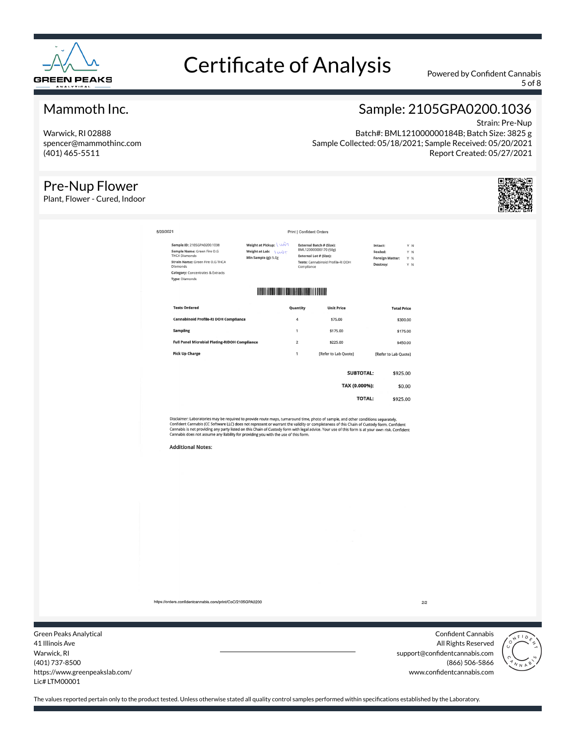

5 of 8

#### Mammoth Inc.

Warwick, RI 02888 spencer@mammothinc.com (401) 465-5511

#### Pre-Nup Flower

Plant, Flower - Cured, Indoor

### Sample: 2105GPA0200.1036

Strain: Pre-Nup Batch#: BML121000000184B; Batch Size: 3825 g Sample Collected: 05/18/2021; Sample Received: 05/20/2021 Report Created: 05/27/2021



| Sample Name: Green Fire O.G<br><b>THCA Diamonds</b><br>Strain Name: Green Fire O.G THCA<br><b>Diamonds</b><br><b>Category:</b> Concentrates & Extracts<br><b>Type: Diamonds</b> | Weight at Lab: \ UNX+<br>Min Sample (g): 5.0g | Compliance     | BML120000000170 (50g)<br><b>External Lot # (Size):</b><br>Tests: Cannabinoid Profile-RI DOH | Sealed:<br><b>Foreign Matter:</b><br>Destroy: | Y N<br>Y N<br>Y N |
|---------------------------------------------------------------------------------------------------------------------------------------------------------------------------------|-----------------------------------------------|----------------|---------------------------------------------------------------------------------------------|-----------------------------------------------|-------------------|
|                                                                                                                                                                                 |                                               |                |                                                                                             |                                               |                   |
| <b>Tests Ordered</b>                                                                                                                                                            |                                               | Quantity       | <b>Unit Price</b>                                                                           | <b>Total Price</b>                            |                   |
| <b>Cannabinoid Profile-RI DOH Compliance</b>                                                                                                                                    |                                               | $\overline{4}$ | \$75.00                                                                                     |                                               | \$300.00          |
| <b>Sampling</b>                                                                                                                                                                 |                                               | 1              | \$175.00                                                                                    |                                               | \$175.00          |
| <b>Full Panel Microbial Plating-RIDOH Compliance</b>                                                                                                                            |                                               | $\overline{2}$ | \$225.00                                                                                    |                                               | \$450.00          |
| <b>Pick Up Charge</b>                                                                                                                                                           |                                               | 1              | [Refer to Lab Quote]                                                                        | [Refer to Lab Quote]                          |                   |
|                                                                                                                                                                                 |                                               |                | <b>SUBTOTAL:</b>                                                                            | \$925.00                                      |                   |
|                                                                                                                                                                                 |                                               |                | TAX (0.000%):                                                                               |                                               | \$0.00            |
|                                                                                                                                                                                 |                                               |                | <b>TOTAL:</b>                                                                               | \$925.00                                      |                   |

Print | Confident Orders

Disclaimer: Laboratories may be required to provide route maps, turnaround time, photo of sample, and other conditions separately.<br>Confident Cannabis (CC Software LLC) does not represent or warrant the validity or complete

**Additional Notes:** 

5/20/2021

https://orders.confidentcannabis.com/print/CoC/2105GPA0200

Green Peaks Analytical 41 Illinois Ave Warwick, RI (401) 737-8500 https://www.greenpeakslab.com/ Lic# LTM00001

Confident Cannabis All Rights Reserved support@confidentcannabis.com (866) 506-5866 www.confidentcannabis.com

 $2/2$ 

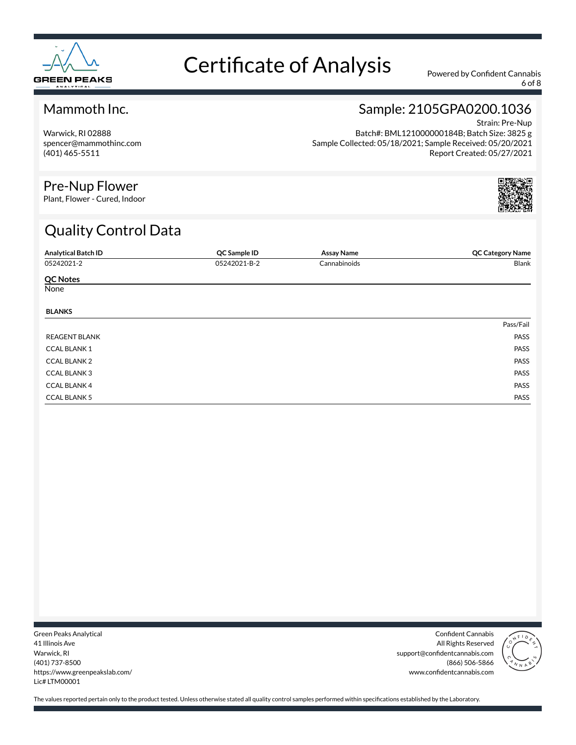

6 of 8

#### Mammoth Inc.

Warwick, RI 02888 spencer@mammothinc.com (401) 465-5511

### Sample: 2105GPA0200.1036

Strain: Pre-Nup Batch#: BML121000000184B; Batch Size: 3825 g Sample Collected: 05/18/2021; Sample Received: 05/20/2021 Report Created: 05/27/2021

#### Pre-Nup Flower

Plant, Flower - Cured, Indoor

### Quality Control Data

| <b>Analytical Batch ID</b> | QC Sample ID | <b>Assay Name</b> | <b>QC Category Name</b> |
|----------------------------|--------------|-------------------|-------------------------|
| 05242021-2                 | 05242021-B-2 | Cannabinoids      | Blank                   |
| <b>QC Notes</b>            |              |                   |                         |
| None                       |              |                   |                         |
| <b>BLANKS</b>              |              |                   |                         |
|                            |              |                   | Pass/Fail               |
| <b>REAGENT BLANK</b>       |              |                   | PASS                    |
| <b>CCAL BLANK1</b>         |              |                   | PASS                    |
| <b>CCAL BLANK 2</b>        |              |                   | PASS                    |
| <b>CCAL BLANK3</b>         |              |                   | PASS                    |
| <b>CCAL BLANK 4</b>        |              |                   | PASS                    |
| <b>CCAL BLANK 5</b>        |              |                   | PASS                    |

Green Peaks Analytical 41 Illinois Ave Warwick, RI (401) 737-8500 https://www.greenpeakslab.com/ Lic# LTM00001

Confident Cannabis All Rights Reserved support@confidentcannabis.com (866) 506-5866 www.confidentcannabis.com

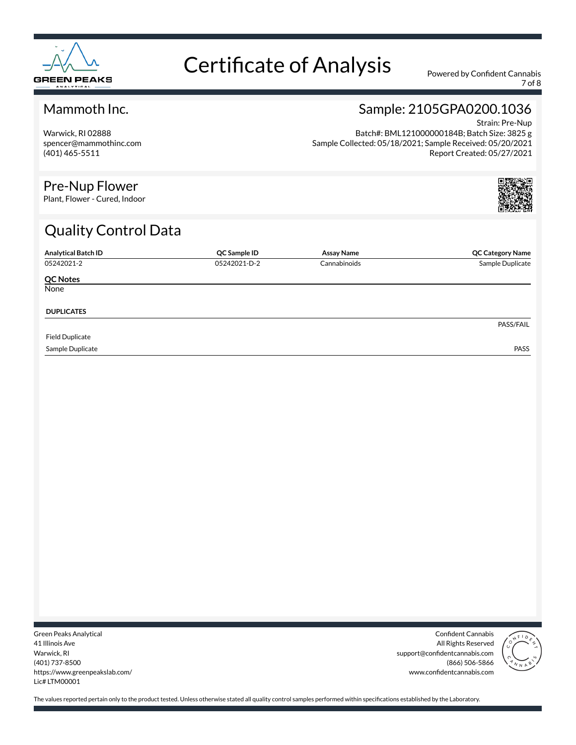

7 of 8

#### Mammoth Inc.

Warwick, RI 02888 spencer@mammothinc.com (401) 465-5511

#### Sample: 2105GPA0200.1036 Strain: Pre-Nup

Batch#: BML121000000184B; Batch Size: 3825 g Sample Collected: 05/18/2021; Sample Received: 05/20/2021 Report Created: 05/27/2021

#### Pre-Nup Flower

Plant, Flower - Cured, Indoor

### Quality Control Data

| <b>Analytical Batch ID</b> | QC Sample ID | <b>Assay Name</b> | <b>QC Category Name</b> |
|----------------------------|--------------|-------------------|-------------------------|
| 05242021-2                 | 05242021-D-2 | Cannabinoids      | Sample Duplicate        |
| <b>QC Notes</b>            |              |                   |                         |
| None                       |              |                   |                         |
| <b>DUPLICATES</b>          |              |                   |                         |
|                            |              |                   | PASS/FAIL               |
| <b>Field Duplicate</b>     |              |                   |                         |
| Sample Duplicate           |              |                   | <b>PASS</b>             |

Green Peaks Analytical 41 Illinois Ave Warwick, RI (401) 737-8500 https://www.greenpeakslab.com/ Lic# LTM00001

Confident Cannabis All Rights Reserved support@confidentcannabis.com (866) 506-5866 www.confidentcannabis.com